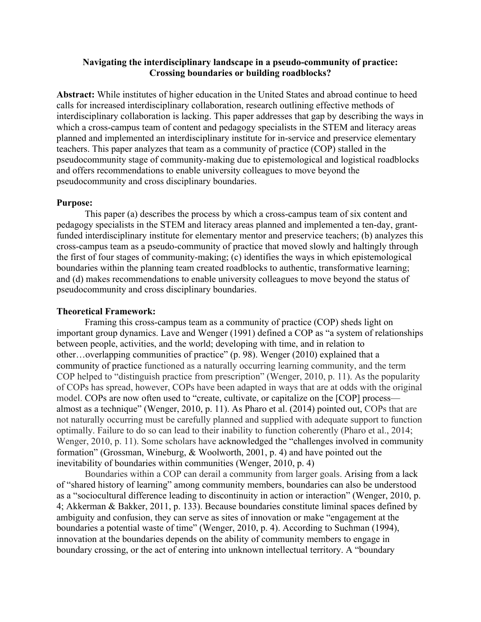# **Navigating the interdisciplinary landscape in a pseudo-community of practice: Crossing boundaries or building roadblocks?**

**Abstract:** While institutes of higher education in the United States and abroad continue to heed calls for increased interdisciplinary collaboration, research outlining effective methods of interdisciplinary collaboration is lacking. This paper addresses that gap by describing the ways in which a cross-campus team of content and pedagogy specialists in the STEM and literacy areas planned and implemented an interdisciplinary institute for in-service and preservice elementary teachers. This paper analyzes that team as a community of practice (COP) stalled in the pseudocommunity stage of community-making due to epistemological and logistical roadblocks and offers recommendations to enable university colleagues to move beyond the pseudocommunity and cross disciplinary boundaries.

### **Purpose:**

This paper (a) describes the process by which a cross-campus team of six content and pedagogy specialists in the STEM and literacy areas planned and implemented a ten-day, grantfunded interdisciplinary institute for elementary mentor and preservice teachers; (b) analyzes this cross-campus team as a pseudo-community of practice that moved slowly and haltingly through the first of four stages of community-making; (c) identifies the ways in which epistemological boundaries within the planning team created roadblocks to authentic, transformative learning; and (d) makes recommendations to enable university colleagues to move beyond the status of pseudocommunity and cross disciplinary boundaries.

#### **Theoretical Framework:**

Framing this cross-campus team as a community of practice (COP) sheds light on important group dynamics. Lave and Wenger (1991) defined a COP as "a system of relationships between people, activities, and the world; developing with time, and in relation to other…overlapping communities of practice" (p. 98). Wenger (2010) explained that a community of practice functioned as a naturally occurring learning community, and the term COP helped to "distinguish practice from prescription" (Wenger, 2010, p. 11). As the popularity of COPs has spread, however, COPs have been adapted in ways that are at odds with the original model. COPs are now often used to "create, cultivate, or capitalize on the [COP] process almost as a technique" (Wenger, 2010, p. 11). As Pharo et al. (2014) pointed out, COPs that are not naturally occurring must be carefully planned and supplied with adequate support to function optimally. Failure to do so can lead to their inability to function coherently (Pharo et al., 2014; Wenger, 2010, p. 11). Some scholars have acknowledged the "challenges involved in community formation" (Grossman, Wineburg, & Woolworth, 2001, p. 4) and have pointed out the inevitability of boundaries within communities (Wenger, 2010, p. 4)

Boundaries within a COP can derail a community from larger goals. Arising from a lack of "shared history of learning" among community members, boundaries can also be understood as a "sociocultural difference leading to discontinuity in action or interaction" (Wenger, 2010, p. 4; Akkerman & Bakker, 2011, p. 133). Because boundaries constitute liminal spaces defined by ambiguity and confusion, they can serve as sites of innovation or make "engagement at the boundaries a potential waste of time" (Wenger, 2010, p. 4). According to Suchman (1994), innovation at the boundaries depends on the ability of community members to engage in boundary crossing, or the act of entering into unknown intellectual territory. A "boundary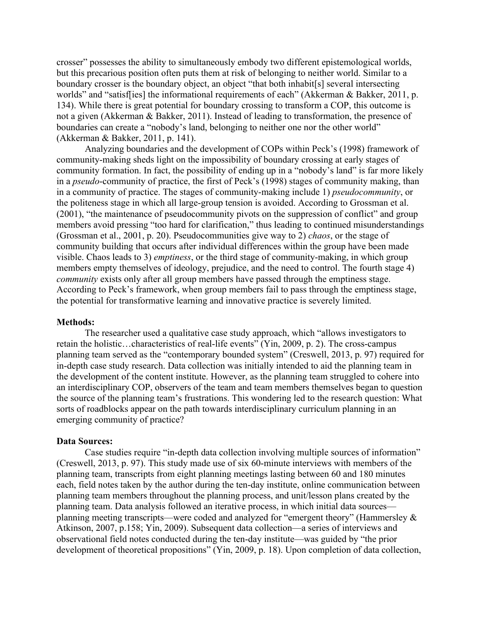crosser" possesses the ability to simultaneously embody two different epistemological worlds, but this precarious position often puts them at risk of belonging to neither world. Similar to a boundary crosser is the boundary object, an object "that both inhabit[s] several intersecting worlds" and "satisf[ies] the informational requirements of each" (Akkerman & Bakker, 2011, p. 134). While there is great potential for boundary crossing to transform a COP, this outcome is not a given (Akkerman & Bakker, 2011). Instead of leading to transformation, the presence of boundaries can create a "nobody's land, belonging to neither one nor the other world" (Akkerman & Bakker, 2011, p. 141).

Analyzing boundaries and the development of COPs within Peck's (1998) framework of community-making sheds light on the impossibility of boundary crossing at early stages of community formation. In fact, the possibility of ending up in a "nobody's land" is far more likely in a *pseudo*-community of practice, the first of Peck's (1998) stages of community making, than in a community of practice. The stages of community-making include 1) *pseudocommunity*, or the politeness stage in which all large-group tension is avoided. According to Grossman et al. (2001), "the maintenance of pseudocommunity pivots on the suppression of conflict" and group members avoid pressing "too hard for clarification," thus leading to continued misunderstandings (Grossman et al., 2001, p. 20). Pseudocommunities give way to 2) *chaos*, or the stage of community building that occurs after individual differences within the group have been made visible. Chaos leads to 3) *emptiness*, or the third stage of community-making, in which group members empty themselves of ideology, prejudice, and the need to control. The fourth stage 4) *community* exists only after all group members have passed through the emptiness stage. According to Peck's framework, when group members fail to pass through the emptiness stage, the potential for transformative learning and innovative practice is severely limited.

### **Methods:**

The researcher used a qualitative case study approach, which "allows investigators to retain the holistic…characteristics of real-life events" (Yin, 2009, p. 2). The cross-campus planning team served as the "contemporary bounded system" (Creswell, 2013, p. 97) required for in-depth case study research. Data collection was initially intended to aid the planning team in the development of the content institute. However, as the planning team struggled to cohere into an interdisciplinary COP, observers of the team and team members themselves began to question the source of the planning team's frustrations. This wondering led to the research question: What sorts of roadblocks appear on the path towards interdisciplinary curriculum planning in an emerging community of practice?

#### **Data Sources:**

Case studies require "in-depth data collection involving multiple sources of information" (Creswell, 2013, p. 97). This study made use of six 60-minute interviews with members of the planning team, transcripts from eight planning meetings lasting between 60 and 180 minutes each, field notes taken by the author during the ten-day institute, online communication between planning team members throughout the planning process, and unit/lesson plans created by the planning team. Data analysis followed an iterative process, in which initial data sources planning meeting transcripts—were coded and analyzed for "emergent theory" (Hammersley & Atkinson, 2007, p.158; Yin, 2009). Subsequent data collection—a series of interviews and observational field notes conducted during the ten-day institute—was guided by "the prior development of theoretical propositions" (Yin, 2009, p. 18). Upon completion of data collection,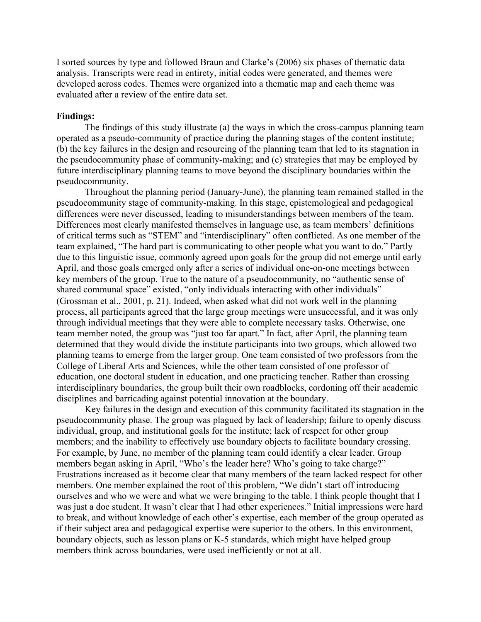I sorted sources by type and followed Braun and Clarke's (2006) six phases of thematic data analysis. Transcripts were read in entirety, initial codes were generated, and themes were developed across codes. Themes were organized into a thematic map and each theme was evaluated after a review of the entire data set.

### **Findings:**

The findings of this study illustrate (a) the ways in which the cross-campus planning team operated as a pseudo-community of practice during the planning stages of the content institute; (b) the key failures in the design and resourcing of the planning team that led to its stagnation in the pseudocommunity phase of community-making; and (c) strategies that may be employed by future interdisciplinary planning teams to move beyond the disciplinary boundaries within the pseudocommunity.

Throughout the planning period (January-June), the planning team remained stalled in the pseudocommunity stage of community-making. In this stage, epistemological and pedagogical differences were never discussed, leading to misunderstandings between members of the team. Differences most clearly manifested themselves in language use, as team members' definitions of critical terms such as "STEM" and "interdisciplinary" often conflicted. As one member of the team explained, "The hard part is communicating to other people what you want to do." Partly due to this linguistic issue, commonly agreed upon goals for the group did not emerge until early April, and those goals emerged only after a series of individual one-on-one meetings between key members of the group. True to the nature of a pseudocommunity, no "authentic sense of shared communal space" existed, "only individuals interacting with other individuals" (Grossman et al., 2001, p. 21). Indeed, when asked what did not work well in the planning process, all participants agreed that the large group meetings were unsuccessful, and it was only through individual meetings that they were able to complete necessary tasks. Otherwise, one team member noted, the group was "just too far apart." In fact, after April, the planning team determined that they would divide the institute participants into two groups, which allowed two planning teams to emerge from the larger group. One team consisted of two professors from the College of Liberal Arts and Sciences, while the other team consisted of one professor of education, one doctoral student in education, and one practicing teacher. Rather than crossing interdisciplinary boundaries, the group built their own roadblocks, cordoning off their academic disciplines and barricading against potential innovation at the boundary.

Key failures in the design and execution of this community facilitated its stagnation in the pseudocommunity phase. The group was plagued by lack of leadership; failure to openly discuss individual, group, and institutional goals for the institute; lack of respect for other group members; and the inability to effectively use boundary objects to facilitate boundary crossing. For example, by June, no member of the planning team could identify a clear leader. Group members began asking in April, "Who's the leader here? Who's going to take charge?" Frustrations increased as it become clear that many members of the team lacked respect for other members. One member explained the root of this problem, "We didn't start off introducing ourselves and who we were and what we were bringing to the table. I think people thought that I was just a doc student. It wasn't clear that I had other experiences." Initial impressions were hard to break, and without knowledge of each other's expertise, each member of the group operated as if their subject area and pedagogical expertise were superior to the others. In this environment, boundary objects, such as lesson plans or K-5 standards, which might have helped group members think across boundaries, were used inefficiently or not at all.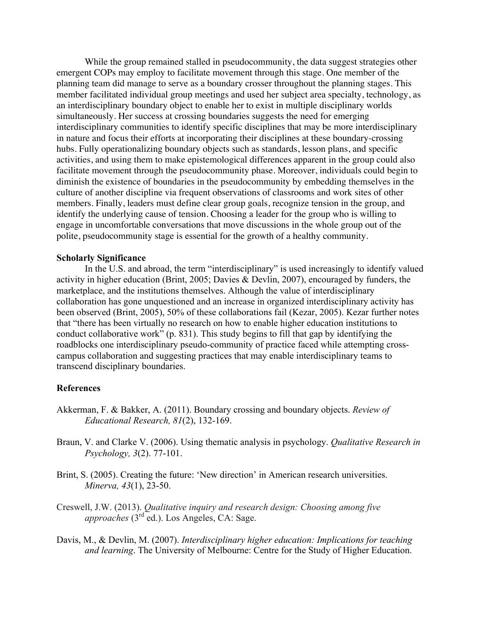While the group remained stalled in pseudocommunity, the data suggest strategies other emergent COPs may employ to facilitate movement through this stage. One member of the planning team did manage to serve as a boundary crosser throughout the planning stages. This member facilitated individual group meetings and used her subject area specialty, technology, as an interdisciplinary boundary object to enable her to exist in multiple disciplinary worlds simultaneously. Her success at crossing boundaries suggests the need for emerging interdisciplinary communities to identify specific disciplines that may be more interdisciplinary in nature and focus their efforts at incorporating their disciplines at these boundary-crossing hubs. Fully operationalizing boundary objects such as standards, lesson plans, and specific activities, and using them to make epistemological differences apparent in the group could also facilitate movement through the pseudocommunity phase. Moreover, individuals could begin to diminish the existence of boundaries in the pseudocommunity by embedding themselves in the culture of another discipline via frequent observations of classrooms and work sites of other members. Finally, leaders must define clear group goals, recognize tension in the group, and identify the underlying cause of tension. Choosing a leader for the group who is willing to engage in uncomfortable conversations that move discussions in the whole group out of the polite, pseudocommunity stage is essential for the growth of a healthy community.

#### **Scholarly Significance**

In the U.S. and abroad, the term "interdisciplinary" is used increasingly to identify valued activity in higher education (Brint, 2005; Davies & Devlin, 2007), encouraged by funders, the marketplace, and the institutions themselves. Although the value of interdisciplinary collaboration has gone unquestioned and an increase in organized interdisciplinary activity has been observed (Brint, 2005), 50% of these collaborations fail (Kezar, 2005). Kezar further notes that "there has been virtually no research on how to enable higher education institutions to conduct collaborative work" (p. 831). This study begins to fill that gap by identifying the roadblocks one interdisciplinary pseudo-community of practice faced while attempting crosscampus collaboration and suggesting practices that may enable interdisciplinary teams to transcend disciplinary boundaries.

## **References**

- Akkerman, F. & Bakker, A. (2011). Boundary crossing and boundary objects. *Review of Educational Research, 81*(2), 132-169.
- Braun, V. and Clarke V. (2006). Using thematic analysis in psychology. *Qualitative Research in Psychology, 3*(2). 77-101.
- Brint, S. (2005). Creating the future: 'New direction' in American research universities. *Minerva, 43*(1), 23-50.
- Creswell, J.W. (2013). *Qualitative inquiry and research design: Choosing among five approaches* (3<sup>rd</sup> ed.). Los Angeles, CA: Sage.
- Davis, M., & Devlin, M. (2007). *Interdisciplinary higher education: Implications for teaching and learning*. The University of Melbourne: Centre for the Study of Higher Education.